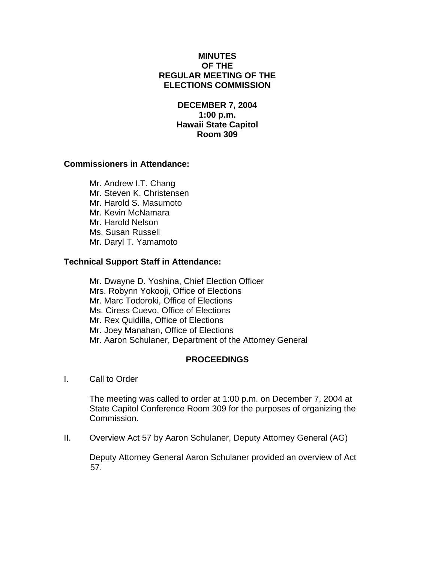### **MINUTES OF THE REGULAR MEETING OF THE ELECTIONS COMMISSION**

# **DECEMBER 7, 2004 1:00 p.m. Hawaii State Capitol Room 309**

### **Commissioners in Attendance:**

Mr. Andrew I.T. Chang Mr. Steven K. Christensen Mr. Harold S. Masumoto Mr. Kevin McNamara Mr. Harold Nelson Ms. Susan Russell Mr. Daryl T. Yamamoto

### **Technical Support Staff in Attendance:**

Mr. Dwayne D. Yoshina, Chief Election Officer Mrs. Robynn Yokooji, Office of Elections Mr. Marc Todoroki, Office of Elections Ms. Ciress Cuevo, Office of Elections Mr. Rex Quidilla, Office of Elections Mr. Joey Manahan, Office of Elections Mr. Aaron Schulaner, Department of the Attorney General

# **PROCEEDINGS**

I. Call to Order

The meeting was called to order at 1:00 p.m. on December 7, 2004 at State Capitol Conference Room 309 for the purposes of organizing the Commission.

II. Overview Act 57 by Aaron Schulaner, Deputy Attorney General (AG)

Deputy Attorney General Aaron Schulaner provided an overview of Act 57.